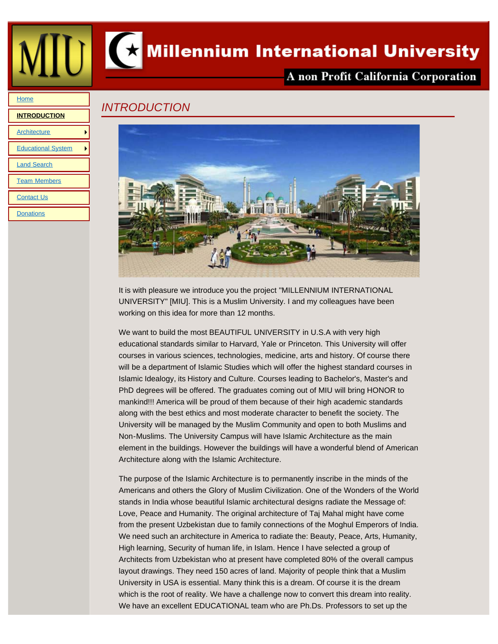<span id="page-0-0"></span>



# Millennium International University

## A non Profit California Corporation

#### **[Home](file:///Users/charlesfeldman/Documents/local_sites/MillenniumUniv/index.html)**

# **[INTRODUCTION](#page-0-0) [Architecture](file:///Users/charlesfeldman/Documents/local_sites/MillenniumUniv/architecture.html)** [Educational System](file:///Users/charlesfeldman/Documents/local_sites/MillenniumUniv/educational_system.html) [Land Search](file:///Users/charlesfeldman/Documents/local_sites/MillenniumUniv/land.html) [Team Members](file:///Users/charlesfeldman/Documents/local_sites/MillenniumUniv/teams.html) **[Contact Us](file:///Users/charlesfeldman/Documents/local_sites/MillenniumUniv/contact_us.html) [Donations](file:///Users/charlesfeldman/Documents/local_sites/MillenniumUniv/donations.html)**

## *INTRODUCTION*



It is with pleasure we introduce you the project "MILLENNIUM INTERNATIONAL UNIVERSITY" [MIU]. This is a Muslim University. I and my colleagues have been working on this idea for more than 12 months.

We want to build the most BEAUTIFUL UNIVERSITY in U.S.A with very high educational standards similar to Harvard, Yale or Princeton. This University will offer courses in various sciences, technologies, medicine, arts and history. Of course there will be a department of Islamic Studies which will offer the highest standard courses in Islamic Idealogy, its History and Culture. Courses leading to Bachelor's, Master's and PhD degrees will be offered. The graduates coming out of MIU will bring HONOR to mankind!!! America will be proud of them because of their high academic standards along with the best ethics and most moderate character to benefit the society. The University will be managed by the Muslim Community and open to both Muslims and Non-Muslims. The University Campus will have Islamic Architecture as the main element in the buildings. However the buildings will have a wonderful blend of American Architecture along with the Islamic Architecture.

The purpose of the Islamic Architecture is to permanently inscribe in the minds of the Americans and others the Glory of Muslim Civilization. One of the Wonders of the World stands in India whose beautiful Islamic architectural designs radiate the Message of: Love, Peace and Humanity. The original architecture of Taj Mahal might have come from the present Uzbekistan due to family connections of the Moghul Emperors of India. We need such an architecture in America to radiate the: Beauty, Peace, Arts, Humanity, High learning, Security of human life, in Islam. Hence I have selected a group of Architects from Uzbekistan who at present have completed 80% of the overall campus layout drawings. They need 150 acres of land. Majority of people think that a Muslim University in USA is essential. Many think this is a dream. Of course it is the dream which is the root of reality. We have a challenge now to convert this dream into reality. We have an excellent EDUCATIONAL team who are Ph.Ds. Professors to set up the